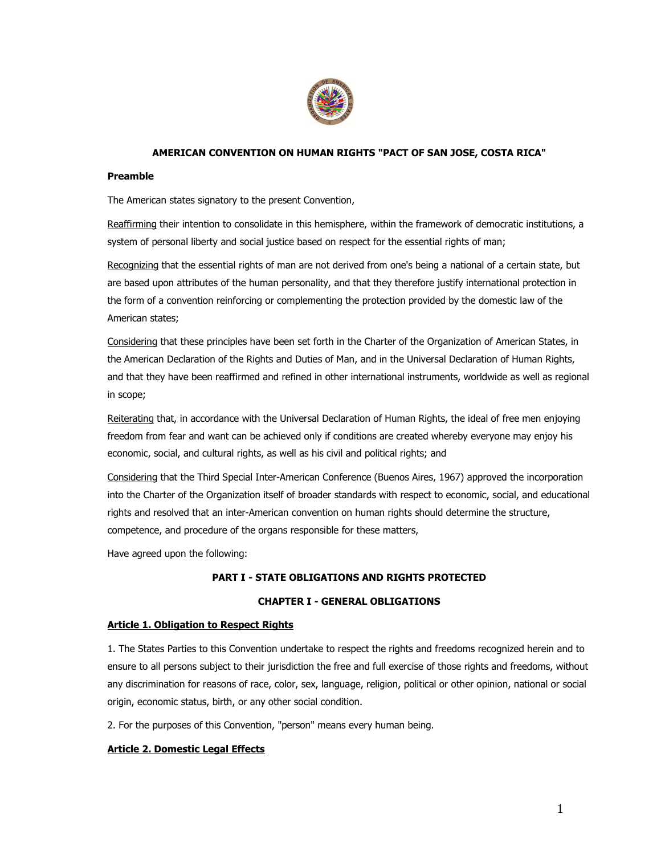

#### AMERICAN CONVENTION ON HUMAN RIGHTS "PACT OF SAN JOSE, COSTA RICA"

#### Preamble

The American states signatory to the present Convention,

Reaffirming their intention to consolidate in this hemisphere, within the framework of democratic institutions, a system of personal liberty and social justice based on respect for the essential rights of man;

Recognizing that the essential rights of man are not derived from one's being a national of a certain state, but are based upon attributes of the human personality, and that they therefore justify international protection in the form of a convention reinforcing or complementing the protection provided by the domestic law of the American states;

Considering that these principles have been set forth in the Charter of the Organization of American States, in the American Declaration of the Rights and Duties of Man, and in the Universal Declaration of Human Rights, and that they have been reaffirmed and refined in other international instruments, worldwide as well as regional in scope;

Reiterating that, in accordance with the Universal Declaration of Human Rights, the ideal of free men enjoying freedom from fear and want can be achieved only if conditions are created whereby everyone may enjoy his economic, social, and cultural rights, as well as his civil and political rights; and

Considering that the Third Special Inter-American Conference (Buenos Aires, 1967) approved the incorporation into the Charter of the Organization itself of broader standards with respect to economic, social, and educational rights and resolved that an inter-American convention on human rights should determine the structure, competence, and procedure of the organs responsible for these matters,

Have agreed upon the following:

## PART I - STATE OBLIGATIONS AND RIGHTS PROTECTED

#### CHAPTER I - GENERAL OBLIGATIONS

#### Article 1. Obligation to Respect Rights

1. The States Parties to this Convention undertake to respect the rights and freedoms recognized herein and to ensure to all persons subject to their jurisdiction the free and full exercise of those rights and freedoms, without any discrimination for reasons of race, color, sex, language, religion, political or other opinion, national or social origin, economic status, birth, or any other social condition.

2. For the purposes of this Convention, "person" means every human being.

#### Article 2. Domestic Legal Effects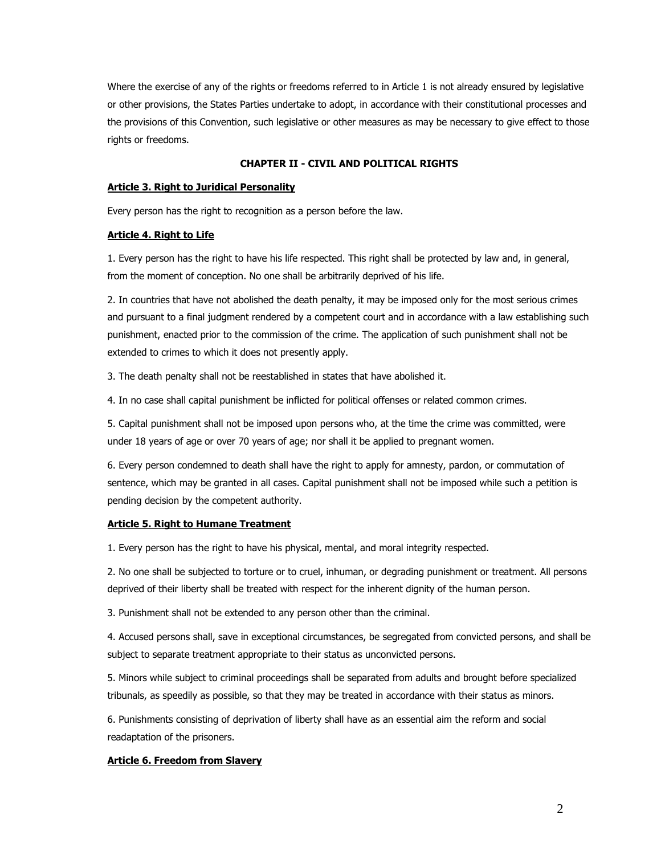Where the exercise of any of the rights or freedoms referred to in Article 1 is not already ensured by legislative or other provisions, the States Parties undertake to adopt, in accordance with their constitutional processes and the provisions of this Convention, such legislative or other measures as may be necessary to give effect to those rights or freedoms.

### CHAPTER II - CIVIL AND POLITICAL RIGHTS

#### Article 3. Right to Juridical Personality

Every person has the right to recognition as a person before the law.

#### Article 4. Right to Life

1. Every person has the right to have his life respected. This right shall be protected by law and, in general, from the moment of conception. No one shall be arbitrarily deprived of his life.

2. In countries that have not abolished the death penalty, it may be imposed only for the most serious crimes and pursuant to a final judgment rendered by a competent court and in accordance with a law establishing such punishment, enacted prior to the commission of the crime. The application of such punishment shall not be extended to crimes to which it does not presently apply.

3. The death penalty shall not be reestablished in states that have abolished it.

4. In no case shall capital punishment be inflicted for political offenses or related common crimes.

5. Capital punishment shall not be imposed upon persons who, at the time the crime was committed, were under 18 years of age or over 70 years of age; nor shall it be applied to pregnant women.

6. Every person condemned to death shall have the right to apply for amnesty, pardon, or commutation of sentence, which may be granted in all cases. Capital punishment shall not be imposed while such a petition is pending decision by the competent authority.

#### Article 5. Right to Humane Treatment

1. Every person has the right to have his physical, mental, and moral integrity respected.

2. No one shall be subjected to torture or to cruel, inhuman, or degrading punishment or treatment. All persons deprived of their liberty shall be treated with respect for the inherent dignity of the human person.

3. Punishment shall not be extended to any person other than the criminal.

4. Accused persons shall, save in exceptional circumstances, be segregated from convicted persons, and shall be subject to separate treatment appropriate to their status as unconvicted persons.

5. Minors while subject to criminal proceedings shall be separated from adults and brought before specialized tribunals, as speedily as possible, so that they may be treated in accordance with their status as minors.

6. Punishments consisting of deprivation of liberty shall have as an essential aim the reform and social readaptation of the prisoners.

#### Article 6. Freedom from Slavery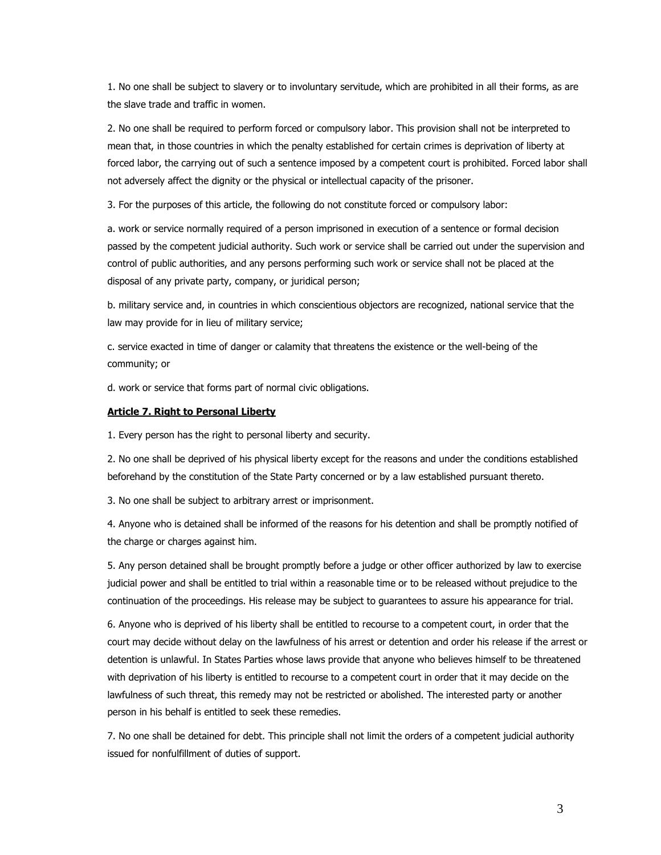1. No one shall be subject to slavery or to involuntary servitude, which are prohibited in all their forms, as are the slave trade and traffic in women.

2. No one shall be required to perform forced or compulsory labor. This provision shall not be interpreted to mean that, in those countries in which the penalty established for certain crimes is deprivation of liberty at forced labor, the carrying out of such a sentence imposed by a competent court is prohibited. Forced labor shall not adversely affect the dignity or the physical or intellectual capacity of the prisoner.

3. For the purposes of this article, the following do not constitute forced or compulsory labor:

a. work or service normally required of a person imprisoned in execution of a sentence or formal decision passed by the competent judicial authority. Such work or service shall be carried out under the supervision and control of public authorities, and any persons performing such work or service shall not be placed at the disposal of any private party, company, or juridical person;

b. military service and, in countries in which conscientious objectors are recognized, national service that the law may provide for in lieu of military service;

c. service exacted in time of danger or calamity that threatens the existence or the well-being of the community; or

d. work or service that forms part of normal civic obligations.

#### Article 7. Right to Personal Liberty

1. Every person has the right to personal liberty and security.

2. No one shall be deprived of his physical liberty except for the reasons and under the conditions established beforehand by the constitution of the State Party concerned or by a law established pursuant thereto.

3. No one shall be subject to arbitrary arrest or imprisonment.

4. Anyone who is detained shall be informed of the reasons for his detention and shall be promptly notified of the charge or charges against him.

5. Any person detained shall be brought promptly before a judge or other officer authorized by law to exercise judicial power and shall be entitled to trial within a reasonable time or to be released without prejudice to the continuation of the proceedings. His release may be subject to guarantees to assure his appearance for trial.

6. Anyone who is deprived of his liberty shall be entitled to recourse to a competent court, in order that the court may decide without delay on the lawfulness of his arrest or detention and order his release if the arrest or detention is unlawful. In States Parties whose laws provide that anyone who believes himself to be threatened with deprivation of his liberty is entitled to recourse to a competent court in order that it may decide on the lawfulness of such threat, this remedy may not be restricted or abolished. The interested party or another person in his behalf is entitled to seek these remedies.

7. No one shall be detained for debt. This principle shall not limit the orders of a competent judicial authority issued for nonfulfillment of duties of support.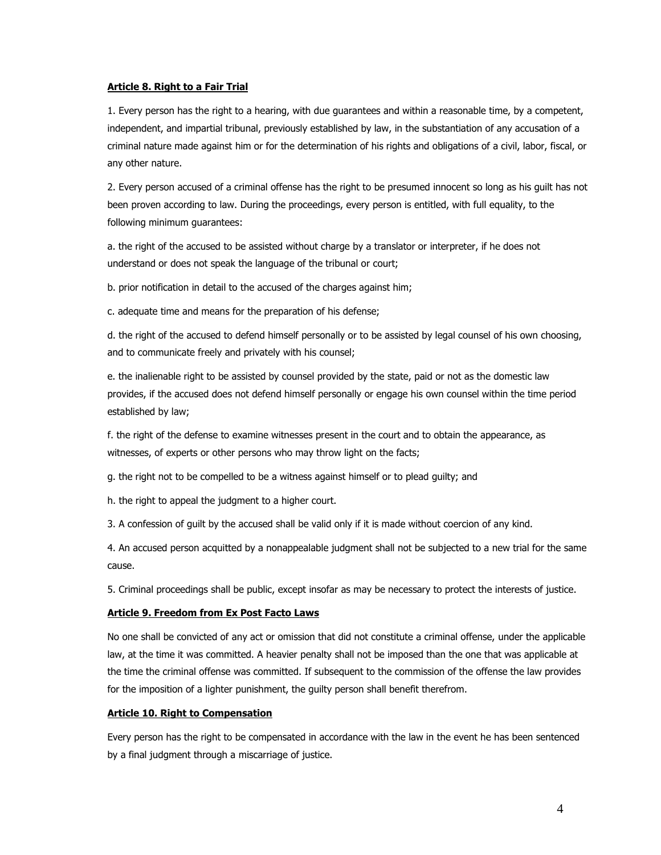#### Article 8. Right to a Fair Trial

1. Every person has the right to a hearing, with due guarantees and within a reasonable time, by a competent, independent, and impartial tribunal, previously established by law, in the substantiation of any accusation of a criminal nature made against him or for the determination of his rights and obligations of a civil, labor, fiscal, or any other nature.

2. Every person accused of a criminal offense has the right to be presumed innocent so long as his guilt has not been proven according to law. During the proceedings, every person is entitled, with full equality, to the following minimum guarantees:

a. the right of the accused to be assisted without charge by a translator or interpreter, if he does not understand or does not speak the language of the tribunal or court;

b. prior notification in detail to the accused of the charges against him;

c. adequate time and means for the preparation of his defense;

d. the right of the accused to defend himself personally or to be assisted by legal counsel of his own choosing, and to communicate freely and privately with his counsel;

e. the inalienable right to be assisted by counsel provided by the state, paid or not as the domestic law provides, if the accused does not defend himself personally or engage his own counsel within the time period established by law;

f. the right of the defense to examine witnesses present in the court and to obtain the appearance, as witnesses, of experts or other persons who may throw light on the facts;

g. the right not to be compelled to be a witness against himself or to plead guilty; and

h. the right to appeal the judgment to a higher court.

3. A confession of guilt by the accused shall be valid only if it is made without coercion of any kind.

4. An accused person acquitted by a nonappealable judgment shall not be subjected to a new trial for the same cause.

5. Criminal proceedings shall be public, except insofar as may be necessary to protect the interests of justice.

#### Article 9. Freedom from Ex Post Facto Laws

No one shall be convicted of any act or omission that did not constitute a criminal offense, under the applicable law, at the time it was committed. A heavier penalty shall not be imposed than the one that was applicable at the time the criminal offense was committed. If subsequent to the commission of the offense the law provides for the imposition of a lighter punishment, the guilty person shall benefit therefrom.

### Article 10. Right to Compensation

Every person has the right to be compensated in accordance with the law in the event he has been sentenced by a final judgment through a miscarriage of justice.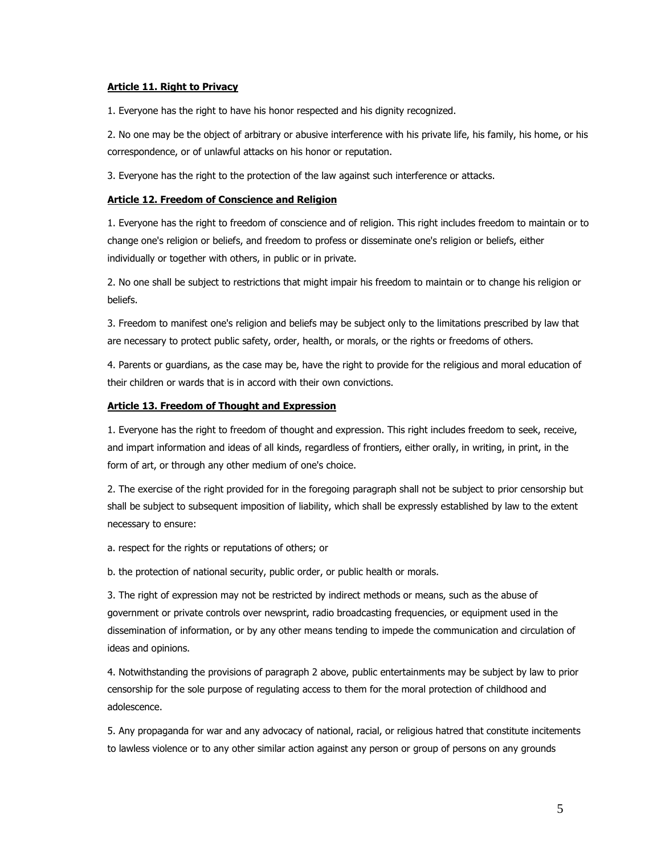### Article 11. Right to Privacy

1. Everyone has the right to have his honor respected and his dignity recognized.

2. No one may be the object of arbitrary or abusive interference with his private life, his family, his home, or his correspondence, or of unlawful attacks on his honor or reputation.

3. Everyone has the right to the protection of the law against such interference or attacks.

#### Article 12. Freedom of Conscience and Religion

1. Everyone has the right to freedom of conscience and of religion. This right includes freedom to maintain or to change one's religion or beliefs, and freedom to profess or disseminate one's religion or beliefs, either individually or together with others, in public or in private.

2. No one shall be subject to restrictions that might impair his freedom to maintain or to change his religion or beliefs.

3. Freedom to manifest one's religion and beliefs may be subject only to the limitations prescribed by law that are necessary to protect public safety, order, health, or morals, or the rights or freedoms of others.

4. Parents or guardians, as the case may be, have the right to provide for the religious and moral education of their children or wards that is in accord with their own convictions.

### Article 13. Freedom of Thought and Expression

1. Everyone has the right to freedom of thought and expression. This right includes freedom to seek, receive, and impart information and ideas of all kinds, regardless of frontiers, either orally, in writing, in print, in the form of art, or through any other medium of one's choice.

2. The exercise of the right provided for in the foregoing paragraph shall not be subject to prior censorship but shall be subject to subsequent imposition of liability, which shall be expressly established by law to the extent necessary to ensure:

a. respect for the rights or reputations of others; or

b. the protection of national security, public order, or public health or morals.

3. The right of expression may not be restricted by indirect methods or means, such as the abuse of government or private controls over newsprint, radio broadcasting frequencies, or equipment used in the dissemination of information, or by any other means tending to impede the communication and circulation of ideas and opinions.

4. Notwithstanding the provisions of paragraph 2 above, public entertainments may be subject by law to prior censorship for the sole purpose of regulating access to them for the moral protection of childhood and adolescence.

5. Any propaganda for war and any advocacy of national, racial, or religious hatred that constitute incitements to lawless violence or to any other similar action against any person or group of persons on any grounds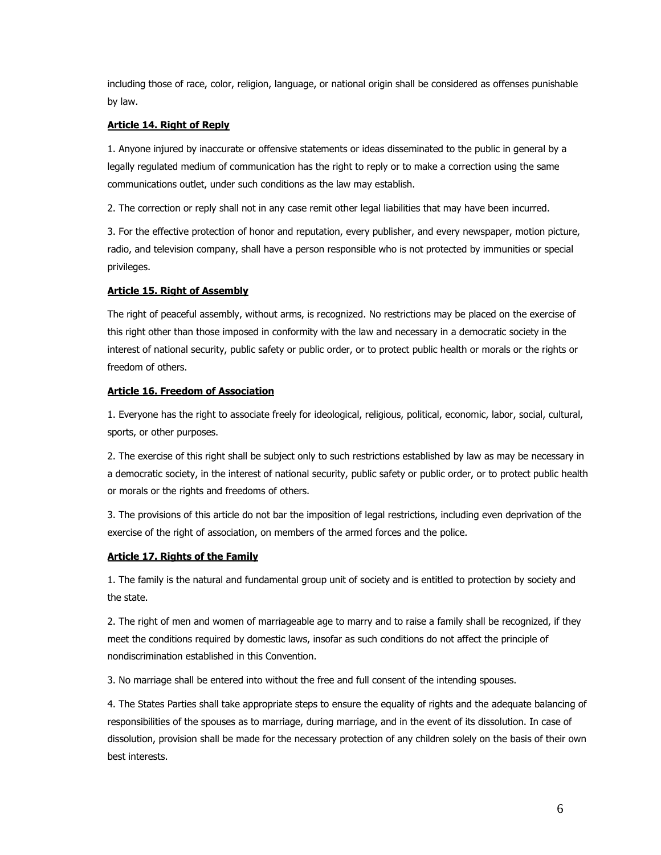including those of race, color, religion, language, or national origin shall be considered as offenses punishable by law.

## Article 14. Right of Reply

1. Anyone injured by inaccurate or offensive statements or ideas disseminated to the public in general by a legally regulated medium of communication has the right to reply or to make a correction using the same communications outlet, under such conditions as the law may establish.

2. The correction or reply shall not in any case remit other legal liabilities that may have been incurred.

3. For the effective protection of honor and reputation, every publisher, and every newspaper, motion picture, radio, and television company, shall have a person responsible who is not protected by immunities or special privileges.

## Article 15. Right of Assembly

The right of peaceful assembly, without arms, is recognized. No restrictions may be placed on the exercise of this right other than those imposed in conformity with the law and necessary in a democratic society in the interest of national security, public safety or public order, or to protect public health or morals or the rights or freedom of others.

## Article 16. Freedom of Association

1. Everyone has the right to associate freely for ideological, religious, political, economic, labor, social, cultural, sports, or other purposes.

2. The exercise of this right shall be subject only to such restrictions established by law as may be necessary in a democratic society, in the interest of national security, public safety or public order, or to protect public health or morals or the rights and freedoms of others.

3. The provisions of this article do not bar the imposition of legal restrictions, including even deprivation of the exercise of the right of association, on members of the armed forces and the police.

## Article 17. Rights of the Family

1. The family is the natural and fundamental group unit of society and is entitled to protection by society and the state.

2. The right of men and women of marriageable age to marry and to raise a family shall be recognized, if they meet the conditions required by domestic laws, insofar as such conditions do not affect the principle of nondiscrimination established in this Convention.

3. No marriage shall be entered into without the free and full consent of the intending spouses.

4. The States Parties shall take appropriate steps to ensure the equality of rights and the adequate balancing of responsibilities of the spouses as to marriage, during marriage, and in the event of its dissolution. In case of dissolution, provision shall be made for the necessary protection of any children solely on the basis of their own best interests.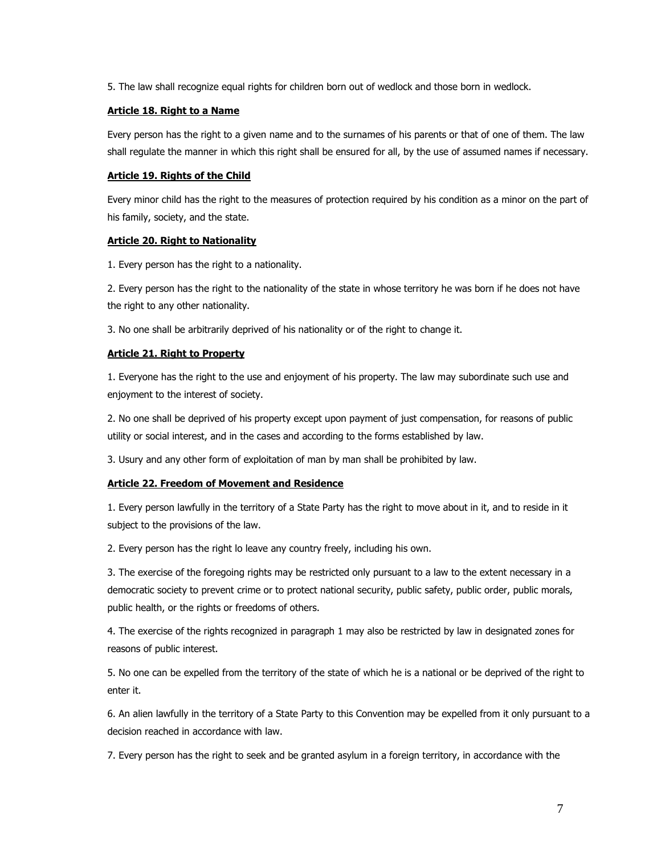5. The law shall recognize equal rights for children born out of wedlock and those born in wedlock.

## Article 18. Right to a Name

Every person has the right to a given name and to the surnames of his parents or that of one of them. The law shall regulate the manner in which this right shall be ensured for all, by the use of assumed names if necessary.

## Article 19. Rights of the Child

Every minor child has the right to the measures of protection required by his condition as a minor on the part of his family, society, and the state.

## Article 20. Right to Nationality

1. Every person has the right to a nationality.

2. Every person has the right to the nationality of the state in whose territory he was born if he does not have the right to any other nationality.

3. No one shall be arbitrarily deprived of his nationality or of the right to change it.

## Article 21. Right to Property

1. Everyone has the right to the use and enjoyment of his property. The law may subordinate such use and enjoyment to the interest of society.

2. No one shall be deprived of his property except upon payment of just compensation, for reasons of public utility or social interest, and in the cases and according to the forms established by law.

3. Usury and any other form of exploitation of man by man shall be prohibited by law.

## Article 22. Freedom of Movement and Residence

1. Every person lawfully in the territory of a State Party has the right to move about in it, and to reside in it subject to the provisions of the law.

2. Every person has the right lo leave any country freely, including his own.

3. The exercise of the foregoing rights may be restricted only pursuant to a law to the extent necessary in a democratic society to prevent crime or to protect national security, public safety, public order, public morals, public health, or the rights or freedoms of others.

4. The exercise of the rights recognized in paragraph 1 may also be restricted by law in designated zones for reasons of public interest.

5. No one can be expelled from the territory of the state of which he is a national or be deprived of the right to enter it.

6. An alien lawfully in the territory of a State Party to this Convention may be expelled from it only pursuant to a decision reached in accordance with law.

7. Every person has the right to seek and be granted asylum in a foreign territory, in accordance with the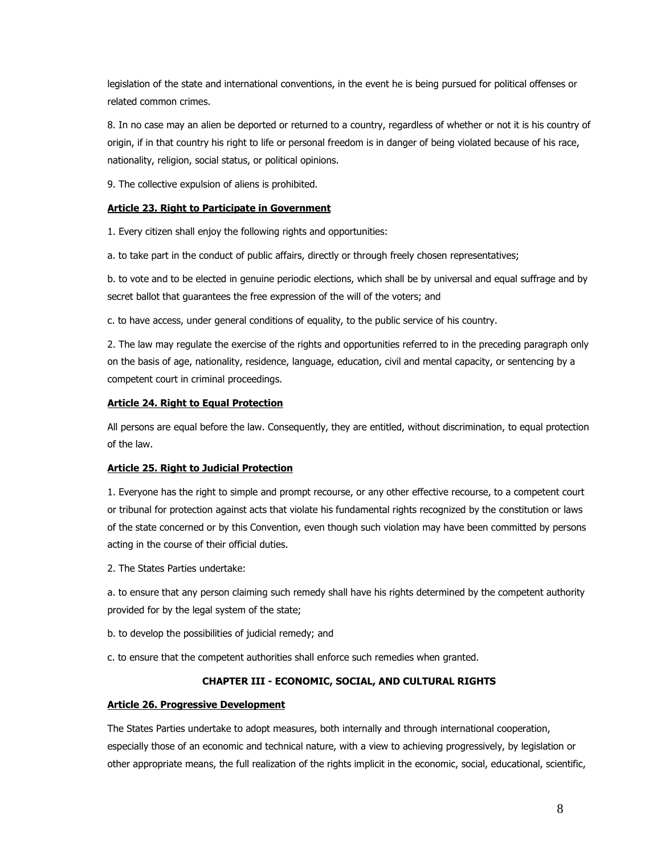legislation of the state and international conventions, in the event he is being pursued for political offenses or related common crimes.

8. In no case may an alien be deported or returned to a country, regardless of whether or not it is his country of origin, if in that country his right to life or personal freedom is in danger of being violated because of his race, nationality, religion, social status, or political opinions.

9. The collective expulsion of aliens is prohibited.

### Article 23. Right to Participate in Government

1. Every citizen shall enjoy the following rights and opportunities:

a. to take part in the conduct of public affairs, directly or through freely chosen representatives;

b. to vote and to be elected in genuine periodic elections, which shall be by universal and equal suffrage and by secret ballot that guarantees the free expression of the will of the voters; and

c. to have access, under general conditions of equality, to the public service of his country.

2. The law may regulate the exercise of the rights and opportunities referred to in the preceding paragraph only on the basis of age, nationality, residence, language, education, civil and mental capacity, or sentencing by a competent court in criminal proceedings.

#### Article 24. Right to Equal Protection

All persons are equal before the law. Consequently, they are entitled, without discrimination, to equal protection of the law.

### Article 25. Right to Judicial Protection

1. Everyone has the right to simple and prompt recourse, or any other effective recourse, to a competent court or tribunal for protection against acts that violate his fundamental rights recognized by the constitution or laws of the state concerned or by this Convention, even though such violation may have been committed by persons acting in the course of their official duties.

2. The States Parties undertake:

a. to ensure that any person claiming such remedy shall have his rights determined by the competent authority provided for by the legal system of the state;

b. to develop the possibilities of judicial remedy; and

c. to ensure that the competent authorities shall enforce such remedies when granted.

### CHAPTER III - ECONOMIC, SOCIAL, AND CULTURAL RIGHTS

#### Article 26. Progressive Development

The States Parties undertake to adopt measures, both internally and through international cooperation, especially those of an economic and technical nature, with a view to achieving progressively, by legislation or other appropriate means, the full realization of the rights implicit in the economic, social, educational, scientific,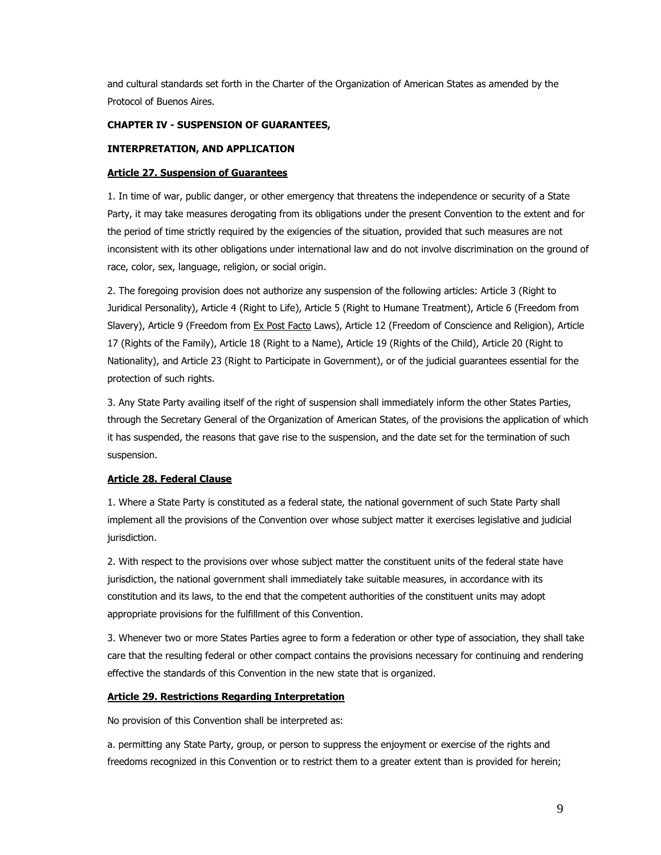and cultural standards set forth in the Charter of the Organization of American States as amended by the Protocol of Buenos Aires.

## CHAPTER IV - SUSPENSION OF GUARANTEES,

### INTERPRETATION, AND APPLICATION

### Article 27. Suspension of Guarantees

1. In time of war, public danger, or other emergency that threatens the independence or security of a State Party, it may take measures derogating from its obligations under the present Convention to the extent and for the period of time strictly required by the exigencies of the situation, provided that such measures are not inconsistent with its other obligations under international law and do not involve discrimination on the ground of race, color, sex, language, religion, or social origin.

2. The foregoing provision does not authorize any suspension of the following articles: Article 3 (Right to Juridical Personality), Article 4 (Right to Life), Article 5 (Right to Humane Treatment), Article 6 (Freedom from Slavery), Article 9 (Freedom from Ex Post Facto Laws), Article 12 (Freedom of Conscience and Religion), Article 17 (Rights of the Family), Article 18 (Right to a Name), Article 19 (Rights of the Child), Article 20 (Right to Nationality), and Article 23 (Right to Participate in Government), or of the judicial guarantees essential for the protection of such rights.

3. Any State Party availing itself of the right of suspension shall immediately inform the other States Parties, through the Secretary General of the Organization of American States, of the provisions the application of which it has suspended, the reasons that gave rise to the suspension, and the date set for the termination of such suspension.

### Article 28. Federal Clause

1. Where a State Party is constituted as a federal state, the national government of such State Party shall implement all the provisions of the Convention over whose subject matter it exercises legislative and judicial jurisdiction.

2. With respect to the provisions over whose subject matter the constituent units of the federal state have jurisdiction, the national government shall immediately take suitable measures, in accordance with its constitution and its laws, to the end that the competent authorities of the constituent units may adopt appropriate provisions for the fulfillment of this Convention.

3. Whenever two or more States Parties agree to form a federation or other type of association, they shall take care that the resulting federal or other compact contains the provisions necessary for continuing and rendering effective the standards of this Convention in the new state that is organized.

#### Article 29. Restrictions Regarding Interpretation

No provision of this Convention shall be interpreted as:

a. permitting any State Party, group, or person to suppress the enjoyment or exercise of the rights and freedoms recognized in this Convention or to restrict them to a greater extent than is provided for herein;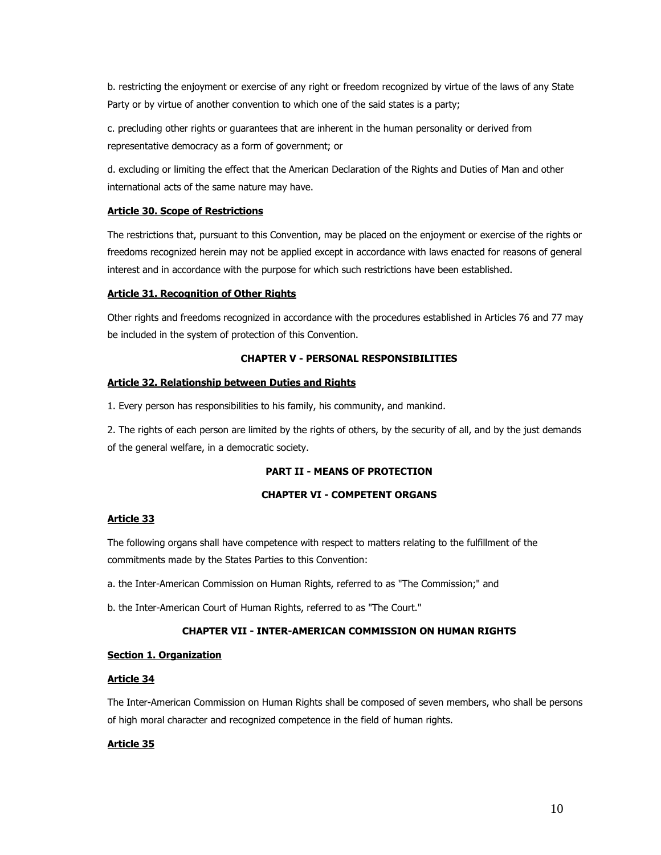b. restricting the enjoyment or exercise of any right or freedom recognized by virtue of the laws of any State Party or by virtue of another convention to which one of the said states is a party;

c. precluding other rights or guarantees that are inherent in the human personality or derived from representative democracy as a form of government; or

d. excluding or limiting the effect that the American Declaration of the Rights and Duties of Man and other international acts of the same nature may have.

#### Article 30. Scope of Restrictions

The restrictions that, pursuant to this Convention, may be placed on the enjoyment or exercise of the rights or freedoms recognized herein may not be applied except in accordance with laws enacted for reasons of general interest and in accordance with the purpose for which such restrictions have been established.

#### Article 31. Recognition of Other Rights

Other rights and freedoms recognized in accordance with the procedures established in Articles 76 and 77 may be included in the system of protection of this Convention.

#### CHAPTER V - PERSONAL RESPONSIBILITIES

#### Article 32. Relationship between Duties and Rights

1. Every person has responsibilities to his family, his community, and mankind.

2. The rights of each person are limited by the rights of others, by the security of all, and by the just demands of the general welfare, in a democratic society.

### PART II - MEANS OF PROTECTION

#### CHAPTER VI - COMPETENT ORGANS

### Article 33

The following organs shall have competence with respect to matters relating to the fulfillment of the commitments made by the States Parties to this Convention:

a. the Inter-American Commission on Human Rights, referred to as "The Commission;" and

b. the Inter-American Court of Human Rights, referred to as "The Court."

## CHAPTER VII - INTER-AMERICAN COMMISSION ON HUMAN RIGHTS

#### Section 1. Organization

### Article 34

The Inter-American Commission on Human Rights shall be composed of seven members, who shall be persons of high moral character and recognized competence in the field of human rights.

#### Article 35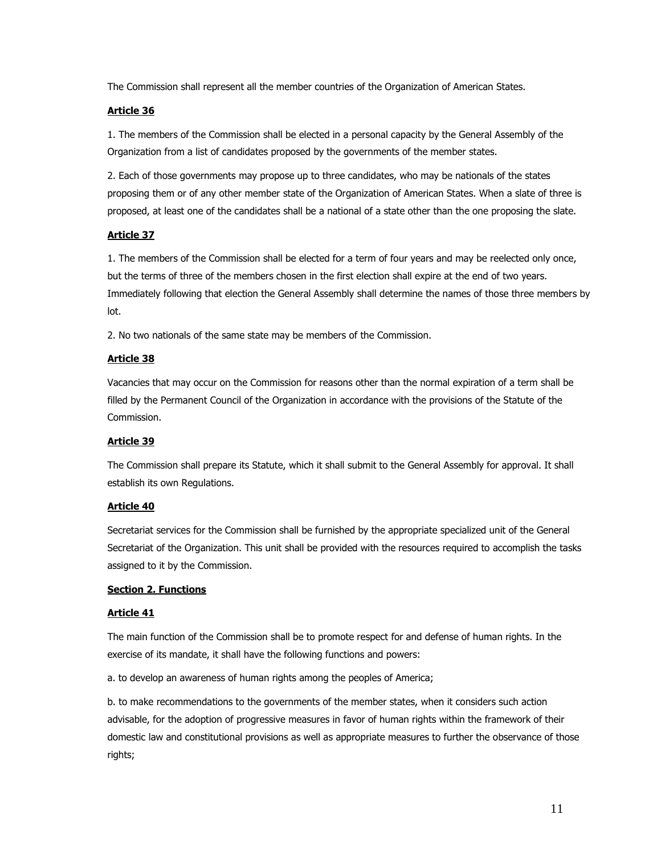The Commission shall represent all the member countries of the Organization of American States.

### Article 36

1. The members of the Commission shall be elected in a personal capacity by the General Assembly of the Organization from a list of candidates proposed by the governments of the member states.

2. Each of those governments may propose up to three candidates, who may be nationals of the states proposing them or of any other member state of the Organization of American States. When a slate of three is proposed, at least one of the candidates shall be a national of a state other than the one proposing the slate.

#### Article 37

1. The members of the Commission shall be elected for a term of four years and may be reelected only once, but the terms of three of the members chosen in the first election shall expire at the end of two years. Immediately following that election the General Assembly shall determine the names of those three members by lot.

2. No two nationals of the same state may be members of the Commission.

#### Article 38

Vacancies that may occur on the Commission for reasons other than the normal expiration of a term shall be filled by the Permanent Council of the Organization in accordance with the provisions of the Statute of the Commission.

#### Article 39

The Commission shall prepare its Statute, which it shall submit to the General Assembly for approval. It shall establish its own Regulations.

#### Article 40

Secretariat services for the Commission shall be furnished by the appropriate specialized unit of the General Secretariat of the Organization. This unit shall be provided with the resources required to accomplish the tasks assigned to it by the Commission.

#### Section 2. Functions

#### Article 41

The main function of the Commission shall be to promote respect for and defense of human rights. In the exercise of its mandate, it shall have the following functions and powers:

a. to develop an awareness of human rights among the peoples of America;

b. to make recommendations to the governments of the member states, when it considers such action advisable, for the adoption of progressive measures in favor of human rights within the framework of their domestic law and constitutional provisions as well as appropriate measures to further the observance of those rights;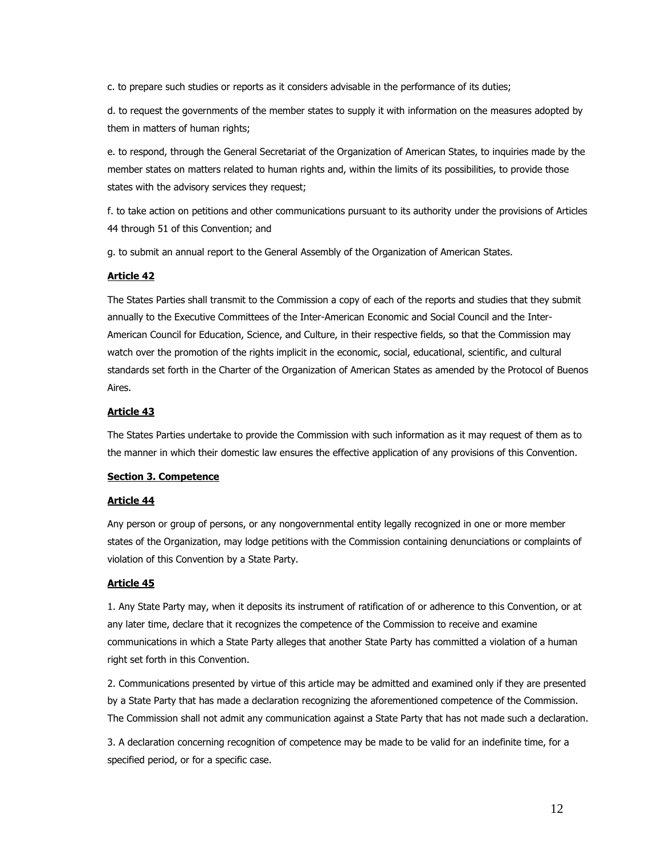c. to prepare such studies or reports as it considers advisable in the performance of its duties;

d. to request the governments of the member states to supply it with information on the measures adopted by them in matters of human rights;

e. to respond, through the General Secretariat of the Organization of American States, to inquiries made by the member states on matters related to human rights and, within the limits of its possibilities, to provide those states with the advisory services they request;

f. to take action on petitions and other communications pursuant to its authority under the provisions of Articles 44 through 51 of this Convention; and

g. to submit an annual report to the General Assembly of the Organization of American States.

#### Article 42

The States Parties shall transmit to the Commission a copy of each of the reports and studies that they submit annually to the Executive Committees of the Inter-American Economic and Social Council and the Inter-American Council for Education, Science, and Culture, in their respective fields, so that the Commission may watch over the promotion of the rights implicit in the economic, social, educational, scientific, and cultural standards set forth in the Charter of the Organization of American States as amended by the Protocol of Buenos Aires.

### Article 43

The States Parties undertake to provide the Commission with such information as it may request of them as to the manner in which their domestic law ensures the effective application of any provisions of this Convention.

#### Section 3. Competence

#### Article 44

Any person or group of persons, or any nongovernmental entity legally recognized in one or more member states of the Organization, may lodge petitions with the Commission containing denunciations or complaints of violation of this Convention by a State Party.

### Article 45

1. Any State Party may, when it deposits its instrument of ratification of or adherence to this Convention, or at any later time, declare that it recognizes the competence of the Commission to receive and examine communications in which a State Party alleges that another State Party has committed a violation of a human right set forth in this Convention.

2. Communications presented by virtue of this article may be admitted and examined only if they are presented by a State Party that has made a declaration recognizing the aforementioned competence of the Commission. The Commission shall not admit any communication against a State Party that has not made such a declaration.

3. A declaration concerning recognition of competence may be made to be valid for an indefinite time, for a specified period, or for a specific case.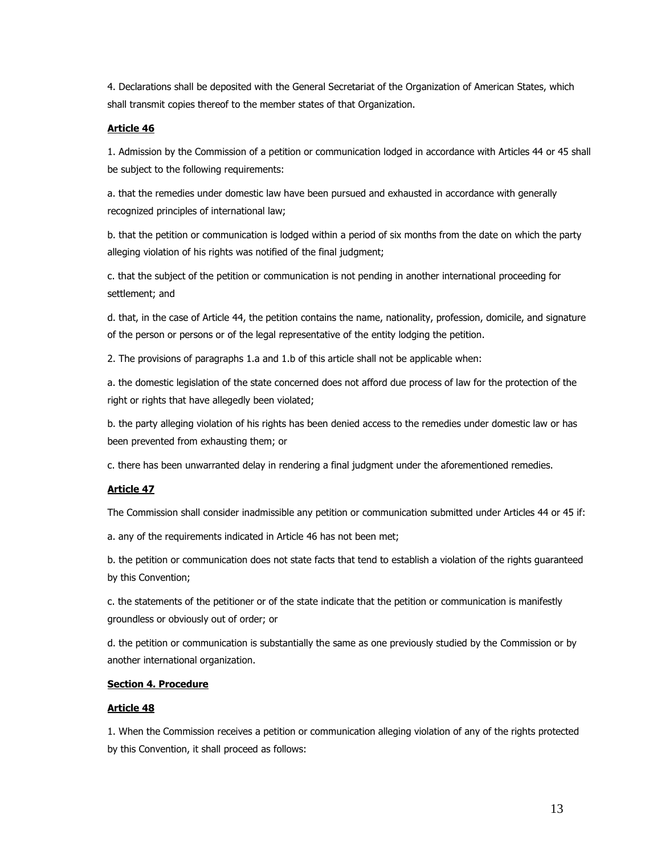4. Declarations shall be deposited with the General Secretariat of the Organization of American States, which shall transmit copies thereof to the member states of that Organization.

#### Article 46

1. Admission by the Commission of a petition or communication lodged in accordance with Articles 44 or 45 shall be subject to the following requirements:

a. that the remedies under domestic law have been pursued and exhausted in accordance with generally recognized principles of international law;

b. that the petition or communication is lodged within a period of six months from the date on which the party alleging violation of his rights was notified of the final judgment;

c. that the subject of the petition or communication is not pending in another international proceeding for settlement; and

d. that, in the case of Article 44, the petition contains the name, nationality, profession, domicile, and signature of the person or persons or of the legal representative of the entity lodging the petition.

2. The provisions of paragraphs 1.a and 1.b of this article shall not be applicable when:

a. the domestic legislation of the state concerned does not afford due process of law for the protection of the right or rights that have allegedly been violated;

b. the party alleging violation of his rights has been denied access to the remedies under domestic law or has been prevented from exhausting them; or

c. there has been unwarranted delay in rendering a final judgment under the aforementioned remedies.

### Article 47

The Commission shall consider inadmissible any petition or communication submitted under Articles 44 or 45 if:

a. any of the requirements indicated in Article 46 has not been met;

b. the petition or communication does not state facts that tend to establish a violation of the rights guaranteed by this Convention;

c. the statements of the petitioner or of the state indicate that the petition or communication is manifestly groundless or obviously out of order; or

d. the petition or communication is substantially the same as one previously studied by the Commission or by another international organization.

#### Section 4. Procedure

## Article 48

1. When the Commission receives a petition or communication alleging violation of any of the rights protected by this Convention, it shall proceed as follows: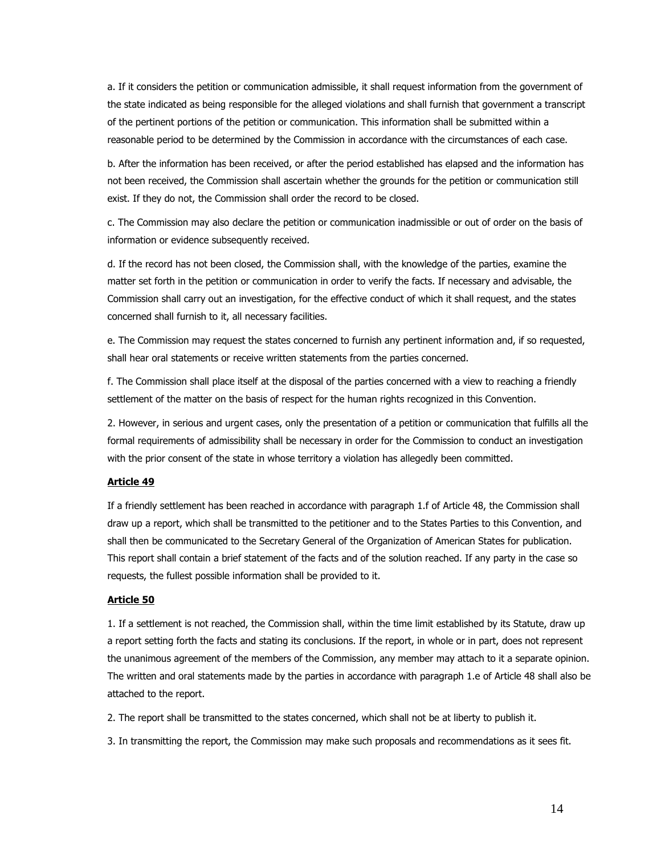a. If it considers the petition or communication admissible, it shall request information from the government of the state indicated as being responsible for the alleged violations and shall furnish that government a transcript of the pertinent portions of the petition or communication. This information shall be submitted within a reasonable period to be determined by the Commission in accordance with the circumstances of each case.

b. After the information has been received, or after the period established has elapsed and the information has not been received, the Commission shall ascertain whether the grounds for the petition or communication still exist. If they do not, the Commission shall order the record to be closed.

c. The Commission may also declare the petition or communication inadmissible or out of order on the basis of information or evidence subsequently received.

d. If the record has not been closed, the Commission shall, with the knowledge of the parties, examine the matter set forth in the petition or communication in order to verify the facts. If necessary and advisable, the Commission shall carry out an investigation, for the effective conduct of which it shall request, and the states concerned shall furnish to it, all necessary facilities.

e. The Commission may request the states concerned to furnish any pertinent information and, if so requested, shall hear oral statements or receive written statements from the parties concerned.

f. The Commission shall place itself at the disposal of the parties concerned with a view to reaching a friendly settlement of the matter on the basis of respect for the human rights recognized in this Convention.

2. However, in serious and urgent cases, only the presentation of a petition or communication that fulfills all the formal requirements of admissibility shall be necessary in order for the Commission to conduct an investigation with the prior consent of the state in whose territory a violation has allegedly been committed.

## Article 49

If a friendly settlement has been reached in accordance with paragraph 1.f of Article 48, the Commission shall draw up a report, which shall be transmitted to the petitioner and to the States Parties to this Convention, and shall then be communicated to the Secretary General of the Organization of American States for publication. This report shall contain a brief statement of the facts and of the solution reached. If any party in the case so requests, the fullest possible information shall be provided to it.

### Article 50

1. If a settlement is not reached, the Commission shall, within the time limit established by its Statute, draw up a report setting forth the facts and stating its conclusions. If the report, in whole or in part, does not represent the unanimous agreement of the members of the Commission, any member may attach to it a separate opinion. The written and oral statements made by the parties in accordance with paragraph 1.e of Article 48 shall also be attached to the report.

2. The report shall be transmitted to the states concerned, which shall not be at liberty to publish it.

3. In transmitting the report, the Commission may make such proposals and recommendations as it sees fit.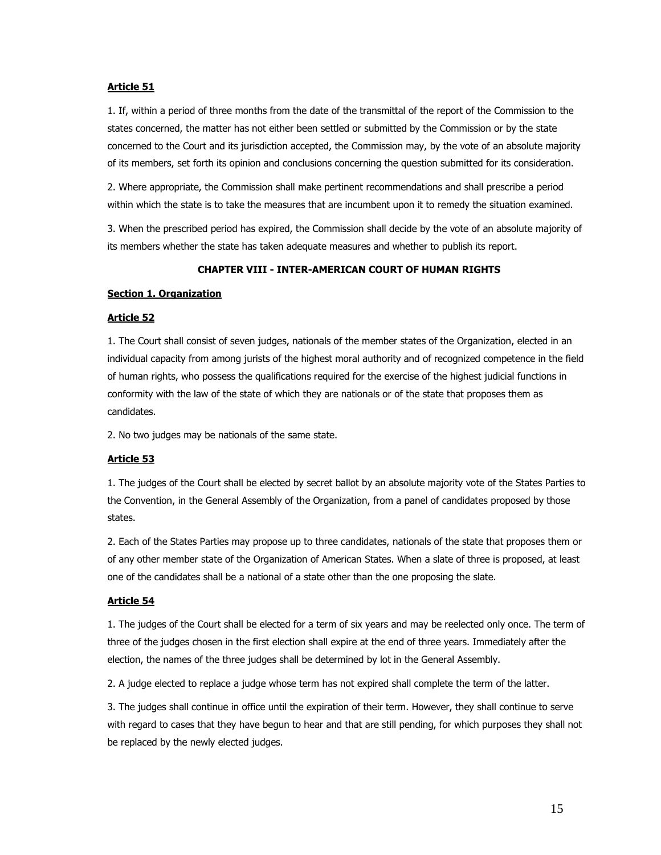## Article 51

1. If, within a period of three months from the date of the transmittal of the report of the Commission to the states concerned, the matter has not either been settled or submitted by the Commission or by the state concerned to the Court and its jurisdiction accepted, the Commission may, by the vote of an absolute majority of its members, set forth its opinion and conclusions concerning the question submitted for its consideration.

2. Where appropriate, the Commission shall make pertinent recommendations and shall prescribe a period within which the state is to take the measures that are incumbent upon it to remedy the situation examined.

3. When the prescribed period has expired, the Commission shall decide by the vote of an absolute majority of its members whether the state has taken adequate measures and whether to publish its report.

### CHAPTER VIII - INTER-AMERICAN COURT OF HUMAN RIGHTS

### Section 1. Organization

#### Article 52

1. The Court shall consist of seven judges, nationals of the member states of the Organization, elected in an individual capacity from among jurists of the highest moral authority and of recognized competence in the field of human rights, who possess the qualifications required for the exercise of the highest judicial functions in conformity with the law of the state of which they are nationals or of the state that proposes them as candidates.

2. No two judges may be nationals of the same state.

### Article 53

1. The judges of the Court shall be elected by secret ballot by an absolute majority vote of the States Parties to the Convention, in the General Assembly of the Organization, from a panel of candidates proposed by those states.

2. Each of the States Parties may propose up to three candidates, nationals of the state that proposes them or of any other member state of the Organization of American States. When a slate of three is proposed, at least one of the candidates shall be a national of a state other than the one proposing the slate.

### Article 54

1. The judges of the Court shall be elected for a term of six years and may be reelected only once. The term of three of the judges chosen in the first election shall expire at the end of three years. Immediately after the election, the names of the three judges shall be determined by lot in the General Assembly.

2. A judge elected to replace a judge whose term has not expired shall complete the term of the latter.

3. The judges shall continue in office until the expiration of their term. However, they shall continue to serve with regard to cases that they have begun to hear and that are still pending, for which purposes they shall not be replaced by the newly elected judges.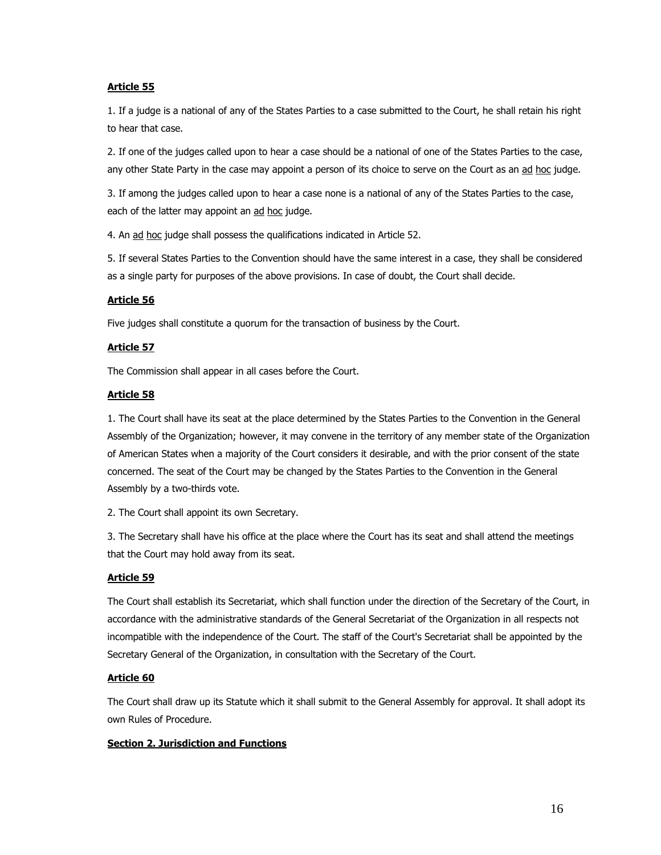## Article 55

1. If a judge is a national of any of the States Parties to a case submitted to the Court, he shall retain his right to hear that case.

2. If one of the judges called upon to hear a case should be a national of one of the States Parties to the case, any other State Party in the case may appoint a person of its choice to serve on the Court as an ad hoc judge.

3. If among the judges called upon to hear a case none is a national of any of the States Parties to the case, each of the latter may appoint an ad hoc judge.

4. An ad hoc judge shall possess the qualifications indicated in Article 52.

5. If several States Parties to the Convention should have the same interest in a case, they shall be considered as a single party for purposes of the above provisions. In case of doubt, the Court shall decide.

### Article 56

Five judges shall constitute a quorum for the transaction of business by the Court.

#### Article 57

The Commission shall appear in all cases before the Court.

### Article 58

1. The Court shall have its seat at the place determined by the States Parties to the Convention in the General Assembly of the Organization; however, it may convene in the territory of any member state of the Organization of American States when a majority of the Court considers it desirable, and with the prior consent of the state concerned. The seat of the Court may be changed by the States Parties to the Convention in the General Assembly by a two-thirds vote.

2. The Court shall appoint its own Secretary.

3. The Secretary shall have his office at the place where the Court has its seat and shall attend the meetings that the Court may hold away from its seat.

#### Article 59

The Court shall establish its Secretariat, which shall function under the direction of the Secretary of the Court, in accordance with the administrative standards of the General Secretariat of the Organization in all respects not incompatible with the independence of the Court. The staff of the Court's Secretariat shall be appointed by the Secretary General of the Organization, in consultation with the Secretary of the Court.

#### Article 60

The Court shall draw up its Statute which it shall submit to the General Assembly for approval. It shall adopt its own Rules of Procedure.

#### Section 2. Jurisdiction and Functions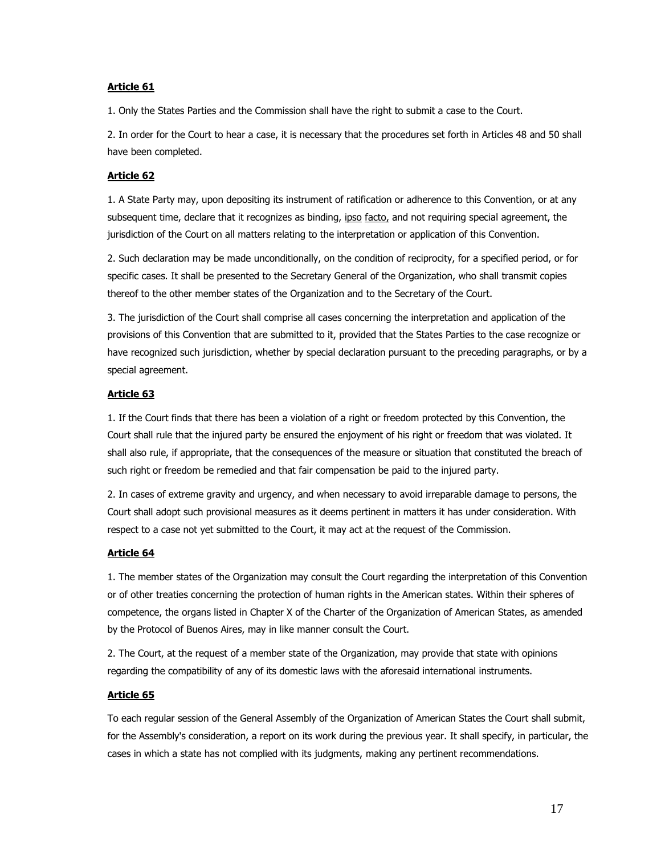## Article 61

1. Only the States Parties and the Commission shall have the right to submit a case to the Court.

2. In order for the Court to hear a case, it is necessary that the procedures set forth in Articles 48 and 50 shall have been completed.

## Article 62

1. A State Party may, upon depositing its instrument of ratification or adherence to this Convention, or at any subsequent time, declare that it recognizes as binding, ipso facto, and not requiring special agreement, the jurisdiction of the Court on all matters relating to the interpretation or application of this Convention.

2. Such declaration may be made unconditionally, on the condition of reciprocity, for a specified period, or for specific cases. It shall be presented to the Secretary General of the Organization, who shall transmit copies thereof to the other member states of the Organization and to the Secretary of the Court.

3. The jurisdiction of the Court shall comprise all cases concerning the interpretation and application of the provisions of this Convention that are submitted to it, provided that the States Parties to the case recognize or have recognized such jurisdiction, whether by special declaration pursuant to the preceding paragraphs, or by a special agreement.

## Article 63

1. If the Court finds that there has been a violation of a right or freedom protected by this Convention, the Court shall rule that the injured party be ensured the enjoyment of his right or freedom that was violated. It shall also rule, if appropriate, that the consequences of the measure or situation that constituted the breach of such right or freedom be remedied and that fair compensation be paid to the injured party.

2. In cases of extreme gravity and urgency, and when necessary to avoid irreparable damage to persons, the Court shall adopt such provisional measures as it deems pertinent in matters it has under consideration. With respect to a case not yet submitted to the Court, it may act at the request of the Commission.

### Article 64

1. The member states of the Organization may consult the Court regarding the interpretation of this Convention or of other treaties concerning the protection of human rights in the American states. Within their spheres of competence, the organs listed in Chapter X of the Charter of the Organization of American States, as amended by the Protocol of Buenos Aires, may in like manner consult the Court.

2. The Court, at the request of a member state of the Organization, may provide that state with opinions regarding the compatibility of any of its domestic laws with the aforesaid international instruments.

## Article 65

To each regular session of the General Assembly of the Organization of American States the Court shall submit, for the Assembly's consideration, a report on its work during the previous year. It shall specify, in particular, the cases in which a state has not complied with its judgments, making any pertinent recommendations.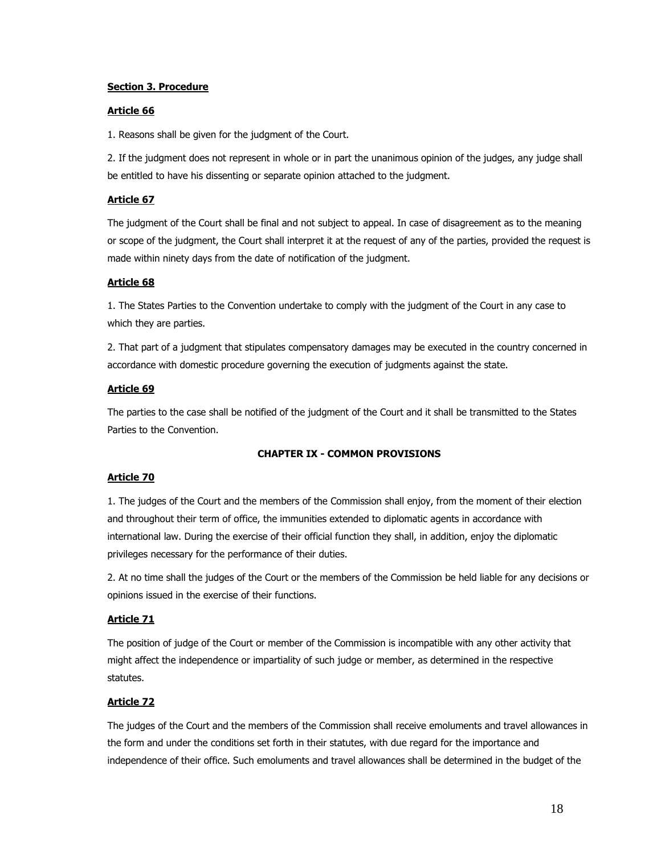## Section 3. Procedure

## Article 66

1. Reasons shall be given for the judgment of the Court.

2. If the judgment does not represent in whole or in part the unanimous opinion of the judges, any judge shall be entitled to have his dissenting or separate opinion attached to the judgment.

## Article 67

The judgment of the Court shall be final and not subject to appeal. In case of disagreement as to the meaning or scope of the judgment, the Court shall interpret it at the request of any of the parties, provided the request is made within ninety days from the date of notification of the judgment.

## Article 68

1. The States Parties to the Convention undertake to comply with the judgment of the Court in any case to which they are parties.

2. That part of a judgment that stipulates compensatory damages may be executed in the country concerned in accordance with domestic procedure governing the execution of judgments against the state.

## Article 69

The parties to the case shall be notified of the judgment of the Court and it shall be transmitted to the States Parties to the Convention.

### CHAPTER IX - COMMON PROVISIONS

### Article 70

1. The judges of the Court and the members of the Commission shall enjoy, from the moment of their election and throughout their term of office, the immunities extended to diplomatic agents in accordance with international law. During the exercise of their official function they shall, in addition, enjoy the diplomatic privileges necessary for the performance of their duties.

2. At no time shall the judges of the Court or the members of the Commission be held liable for any decisions or opinions issued in the exercise of their functions.

### Article 71

The position of judge of the Court or member of the Commission is incompatible with any other activity that might affect the independence or impartiality of such judge or member, as determined in the respective statutes.

## Article 72

The judges of the Court and the members of the Commission shall receive emoluments and travel allowances in the form and under the conditions set forth in their statutes, with due regard for the importance and independence of their office. Such emoluments and travel allowances shall be determined in the budget of the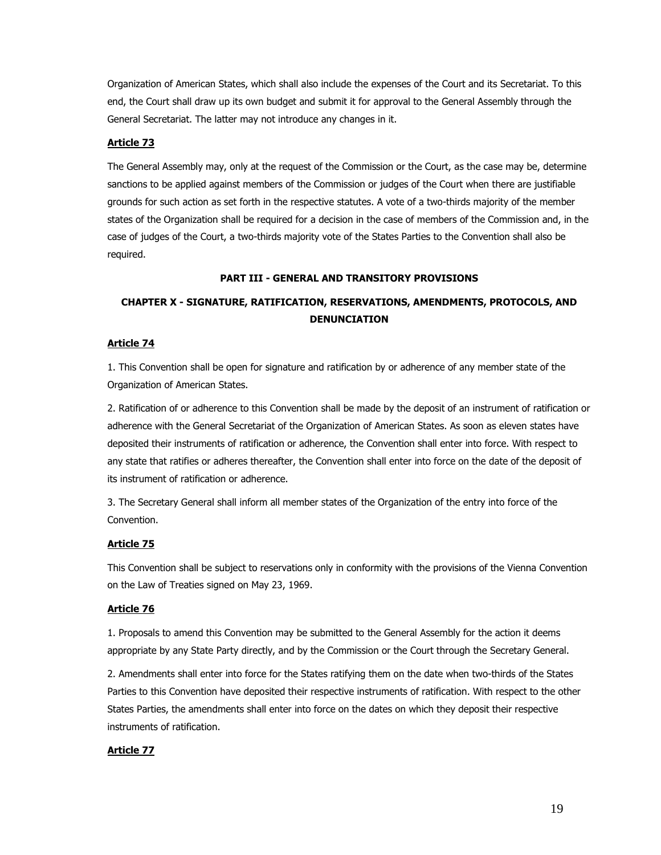Organization of American States, which shall also include the expenses of the Court and its Secretariat. To this end, the Court shall draw up its own budget and submit it for approval to the General Assembly through the General Secretariat. The latter may not introduce any changes in it.

## Article 73

The General Assembly may, only at the request of the Commission or the Court, as the case may be, determine sanctions to be applied against members of the Commission or judges of the Court when there are justifiable grounds for such action as set forth in the respective statutes. A vote of a two-thirds majority of the member states of the Organization shall be required for a decision in the case of members of the Commission and, in the case of judges of the Court, a two-thirds majority vote of the States Parties to the Convention shall also be required.

### PART III - GENERAL AND TRANSITORY PROVISIONS

# CHAPTER X - SIGNATURE, RATIFICATION, RESERVATIONS, AMENDMENTS, PROTOCOLS, AND DENUNCIATION

## Article 74

1. This Convention shall be open for signature and ratification by or adherence of any member state of the Organization of American States.

2. Ratification of or adherence to this Convention shall be made by the deposit of an instrument of ratification or adherence with the General Secretariat of the Organization of American States. As soon as eleven states have deposited their instruments of ratification or adherence, the Convention shall enter into force. With respect to any state that ratifies or adheres thereafter, the Convention shall enter into force on the date of the deposit of its instrument of ratification or adherence.

3. The Secretary General shall inform all member states of the Organization of the entry into force of the Convention.

## Article 75

This Convention shall be subject to reservations only in conformity with the provisions of the Vienna Convention on the Law of Treaties signed on May 23, 1969.

### Article 76

1. Proposals to amend this Convention may be submitted to the General Assembly for the action it deems appropriate by any State Party directly, and by the Commission or the Court through the Secretary General.

2. Amendments shall enter into force for the States ratifying them on the date when two-thirds of the States Parties to this Convention have deposited their respective instruments of ratification. With respect to the other States Parties, the amendments shall enter into force on the dates on which they deposit their respective instruments of ratification.

### Article 77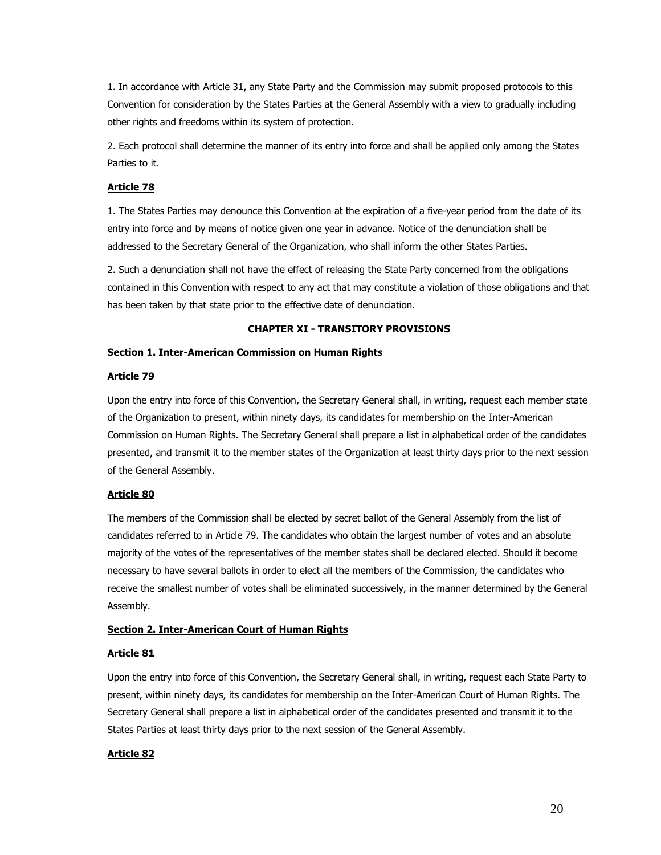1. In accordance with Article 31, any State Party and the Commission may submit proposed protocols to this Convention for consideration by the States Parties at the General Assembly with a view to gradually including other rights and freedoms within its system of protection.

2. Each protocol shall determine the manner of its entry into force and shall be applied only among the States Parties to it.

### Article 78

1. The States Parties may denounce this Convention at the expiration of a five-year period from the date of its entry into force and by means of notice given one year in advance. Notice of the denunciation shall be addressed to the Secretary General of the Organization, who shall inform the other States Parties.

2. Such a denunciation shall not have the effect of releasing the State Party concerned from the obligations contained in this Convention with respect to any act that may constitute a violation of those obligations and that has been taken by that state prior to the effective date of denunciation.

#### CHAPTER XI - TRANSITORY PROVISIONS

#### Section 1. Inter-American Commission on Human Rights

#### Article 79

Upon the entry into force of this Convention, the Secretary General shall, in writing, request each member state of the Organization to present, within ninety days, its candidates for membership on the Inter-American Commission on Human Rights. The Secretary General shall prepare a list in alphabetical order of the candidates presented, and transmit it to the member states of the Organization at least thirty days prior to the next session of the General Assembly.

### Article 80

The members of the Commission shall be elected by secret ballot of the General Assembly from the list of candidates referred to in Article 79. The candidates who obtain the largest number of votes and an absolute majority of the votes of the representatives of the member states shall be declared elected. Should it become necessary to have several ballots in order to elect all the members of the Commission, the candidates who receive the smallest number of votes shall be eliminated successively, in the manner determined by the General Assembly.

#### Section 2. Inter-American Court of Human Rights

#### Article 81

Upon the entry into force of this Convention, the Secretary General shall, in writing, request each State Party to present, within ninety days, its candidates for membership on the Inter-American Court of Human Rights. The Secretary General shall prepare a list in alphabetical order of the candidates presented and transmit it to the States Parties at least thirty days prior to the next session of the General Assembly.

### Article 82